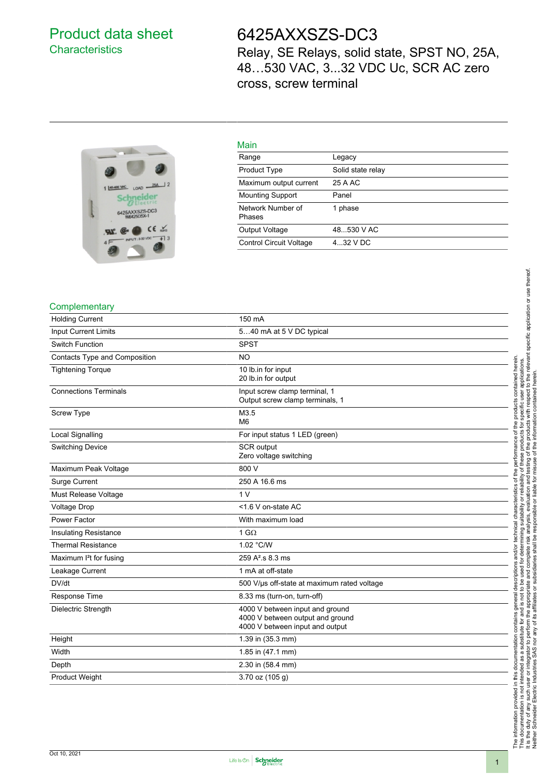## Product data sheet **Characteristics**

## 6425AXXSZS-DC3

Relay, SE Relays, solid state, SPST NO, 25A, 48…530 VAC, 3...32 VDC Uc, SCR AC zero cross, screw terminal



## Main

| main                           |                   |
|--------------------------------|-------------------|
| Range                          | Legacy            |
| <b>Product Type</b>            | Solid state relay |
| Maximum output current         | 25 A AC           |
| <b>Mounting Support</b>        | Panel             |
| Network Number of<br>Phases    | 1 phase           |
| Output Voltage                 | 48530 V AC        |
| <b>Control Circuit Voltage</b> | $432$ V DC        |

#### **Complementary**

| <b>Holding Current</b>            | 150 mA                                                                                                 |
|-----------------------------------|--------------------------------------------------------------------------------------------------------|
| <b>Input Current Limits</b>       | 540 mA at 5 V DC typical                                                                               |
| <b>Switch Function</b>            | <b>SPST</b>                                                                                            |
| Contacts Type and Composition     | <b>NO</b>                                                                                              |
| <b>Tightening Torque</b>          | 10 lb.in for input<br>20 lb.in for output                                                              |
| <b>Connections Terminals</b>      | Input screw clamp terminal, 1<br>Output screw clamp terminals, 1                                       |
| <b>Screw Type</b>                 | M3.5<br>M <sub>6</sub>                                                                                 |
| <b>Local Signalling</b>           | For input status 1 LED (green)                                                                         |
| <b>Switching Device</b>           | <b>SCR</b> output<br>Zero voltage switching                                                            |
| Maximum Peak Voltage              | 800 V                                                                                                  |
| Surge Current                     | 250 A 16.6 ms                                                                                          |
| Must Release Voltage              | 1 <sub>V</sub>                                                                                         |
| Voltage Drop                      | <1.6 V on-state AC                                                                                     |
| Power Factor                      | With maximum load                                                                                      |
| <b>Insulating Resistance</b>      | 1 G $\Omega$                                                                                           |
| <b>Thermal Resistance</b>         | 1.02 °C/W                                                                                              |
| Maximum <sup>2</sup> t for fusing | 259 A <sup>2</sup> .s 8.3 ms                                                                           |
| Leakage Current                   | 1 mA at off-state                                                                                      |
| DV/dt                             | 500 V/us off-state at maximum rated voltage                                                            |
| Response Time                     | 8.33 ms (turn-on, turn-off)                                                                            |
| Dielectric Strength               | 4000 V between input and ground<br>4000 V between output and ground<br>4000 V between input and output |
| Height                            | 1.39 in (35.3 mm)                                                                                      |
| Width                             | 1.85 in (47.1 mm)                                                                                      |
| Depth                             | 2.30 in (58.4 mm)                                                                                      |
| <b>Product Weight</b>             | 3.70 oz (105 g)                                                                                        |

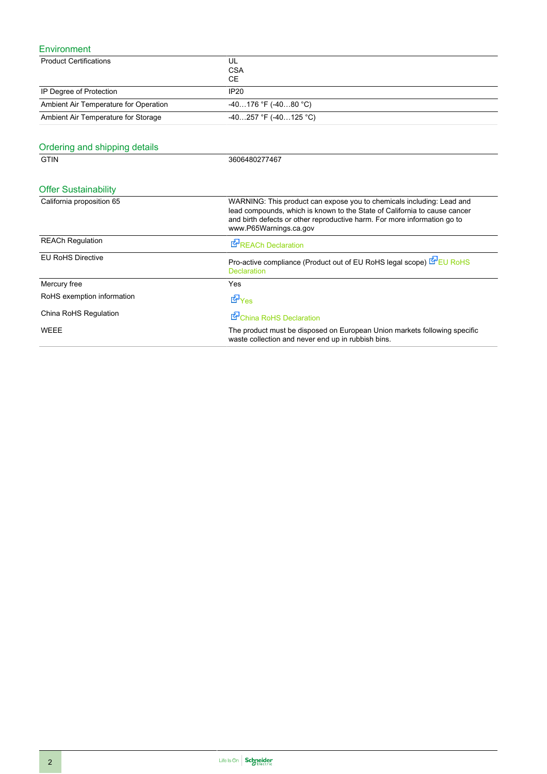### Environment

| ᆜᆝᄁᆢᇚᇦᆡᆡᄓᇅ                            |                                                                                                                                                                                                                                                          |
|---------------------------------------|----------------------------------------------------------------------------------------------------------------------------------------------------------------------------------------------------------------------------------------------------------|
| <b>Product Certifications</b>         | UL<br><b>CSA</b><br><b>CE</b>                                                                                                                                                                                                                            |
| IP Degree of Protection               | <b>IP20</b>                                                                                                                                                                                                                                              |
| Ambient Air Temperature for Operation | $-40176$ °F ( $-4080$ °C)                                                                                                                                                                                                                                |
| Ambient Air Temperature for Storage   | -40257 °F (-40125 °C)                                                                                                                                                                                                                                    |
| Ordering and shipping details         |                                                                                                                                                                                                                                                          |
| <b>GTIN</b>                           | 3606480277467                                                                                                                                                                                                                                            |
| <b>Offer Sustainability</b>           |                                                                                                                                                                                                                                                          |
| California proposition 65             | WARNING: This product can expose you to chemicals including: Lead and<br>lead compounds, which is known to the State of California to cause cancer<br>and birth defects or other reproductive harm. For more information go to<br>www.P65Warnings.ca.gov |
| <b>REACh Regulation</b>               | REACh Declaration                                                                                                                                                                                                                                        |
| <b>EU RoHS Directive</b>              | Pro-active compliance (Product out of EU RoHS legal scope) EPEU RoHS<br><b>Declaration</b>                                                                                                                                                               |
| Mercury free                          | Yes                                                                                                                                                                                                                                                      |
| RoHS exemption information            | d9v <sub>es</sub>                                                                                                                                                                                                                                        |
| China RoHS Regulation                 | China RoHS Declaration                                                                                                                                                                                                                                   |
| <b>WEEE</b>                           | The product must be disposed on European Union markets following specific<br>waste collection and never end up in rubbish bins.                                                                                                                          |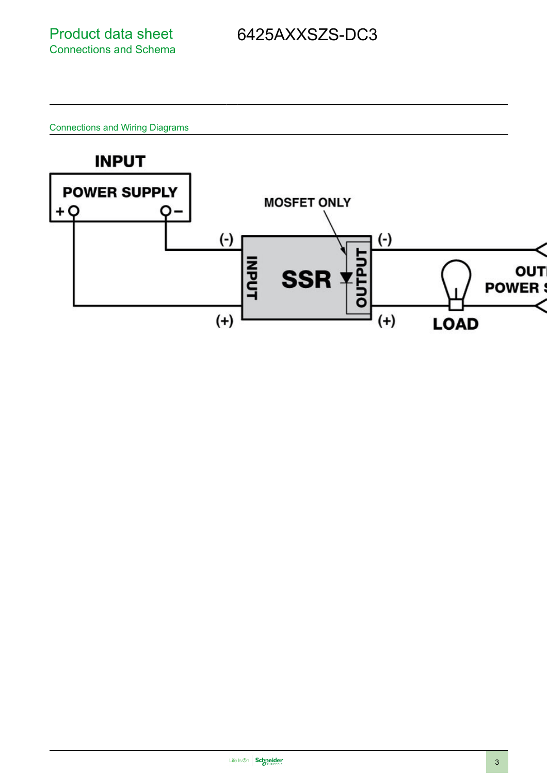Connections and Wiring Diagrams